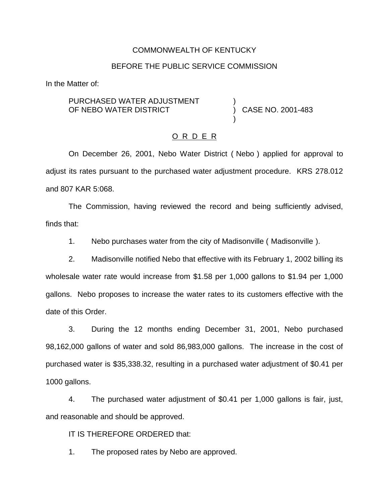### COMMONWEALTH OF KENTUCKY

#### BEFORE THE PUBLIC SERVICE COMMISSION

In the Matter of:

PURCHASED WATER ADJUSTMENT OF NEBO WATER DISTRICT

) CASE NO. 2001-483

)

)

### O R D E R

On December 26, 2001, Nebo Water District ( Nebo ) applied for approval to adjust its rates pursuant to the purchased water adjustment procedure. KRS 278.012 and 807 KAR 5:068.

The Commission, having reviewed the record and being sufficiently advised, finds that:

1. Nebo purchases water from the city of Madisonville ( Madisonville ).

2. Madisonville notified Nebo that effective with its February 1, 2002 billing its wholesale water rate would increase from \$1.58 per 1,000 gallons to \$1.94 per 1,000 gallons. Nebo proposes to increase the water rates to its customers effective with the date of this Order.

3. During the 12 months ending December 31, 2001, Nebo purchased 98,162,000 gallons of water and sold 86,983,000 gallons. The increase in the cost of purchased water is \$35,338.32, resulting in a purchased water adjustment of \$0.41 per 1000 gallons.

4. The purchased water adjustment of \$0.41 per 1,000 gallons is fair, just, and reasonable and should be approved.

IT IS THEREFORE ORDERED that:

1. The proposed rates by Nebo are approved.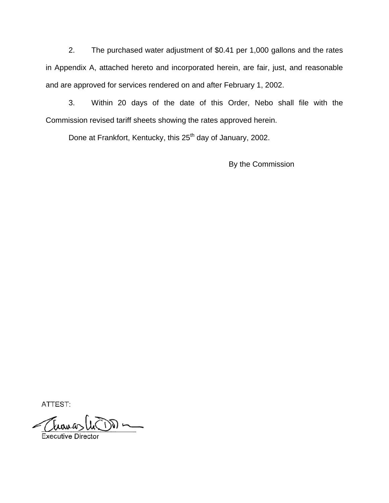2. The purchased water adjustment of \$0.41 per 1,000 gallons and the rates in Appendix A, attached hereto and incorporated herein, are fair, just, and reasonable and are approved for services rendered on and after February 1, 2002.

3. Within 20 days of the date of this Order, Nebo shall file with the Commission revised tariff sheets showing the rates approved herein.

Done at Frankfort, Kentucky, this 25<sup>th</sup> day of January, 2002.

By the Commission

ATTEST:

Erouas (in ) ~

Executive Director